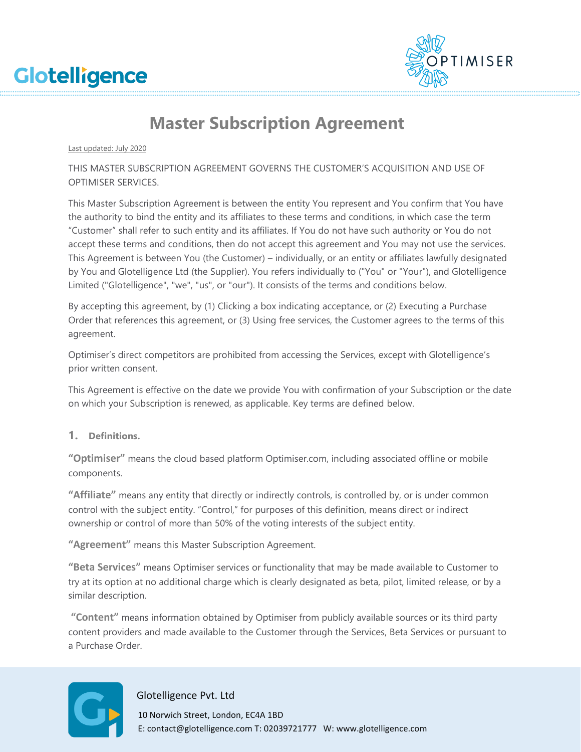



# **Master Subscription Agreement**

Last updated: July 2020

THIS MASTER SUBSCRIPTION AGREEMENT GOVERNS THE CUSTOMER'S ACQUISITION AND USE OF OPTIMISER SERVICES.

This Master Subscription Agreement is between the entity You represent and You confirm that You have the authority to bind the entity and its affiliates to these terms and conditions, in which case the term "Customer" shall refer to such entity and its affiliates. If You do not have such authority or You do not accept these terms and conditions, then do not accept this agreement and You may not use the services. This Agreement is between You (the Customer) – individually, or an entity or affiliates lawfully designated by You and Glotelligence Ltd (the Supplier). You refers individually to ("You" or "Your"), and Glotelligence Limited ("Glotelligence", "we", "us", or "our"). It consists of the terms and conditions below.

By accepting this agreement, by (1) Clicking a box indicating acceptance, or (2) Executing a Purchase Order that references this agreement, or (3) Using free services, the Customer agrees to the terms of this agreement.

Optimiser's direct competitors are prohibited from accessing the Services, except with Glotelligence's prior written consent.

This Agreement is effective on the date we provide You with confirmation of your Subscription or the date on which your Subscription is renewed, as applicable. Key terms are defined below.

**1. Definitions.**

**"Optimiser"** means the cloud based platform Optimiser.com, including associated offline or mobile components.

**"Affiliate"** means any entity that directly or indirectly controls, is controlled by, or is under common control with the subject entity. "Control," for purposes of this definition, means direct or indirect ownership or control of more than 50% of the voting interests of the subject entity.

**"Agreement"** means this Master Subscription Agreement.

**"Beta Services"** means Optimiser services or functionality that may be made available to Customer to try at its option at no additional charge which is clearly designated as beta, pilot, limited release, or by a similar description.

**"Content"** means information obtained by Optimiser from publicly available sources or its third party content providers and made available to the Customer through the Services, Beta Services or pursuant to a Purchase Order.



#### Glotelligence Pvt. Ltd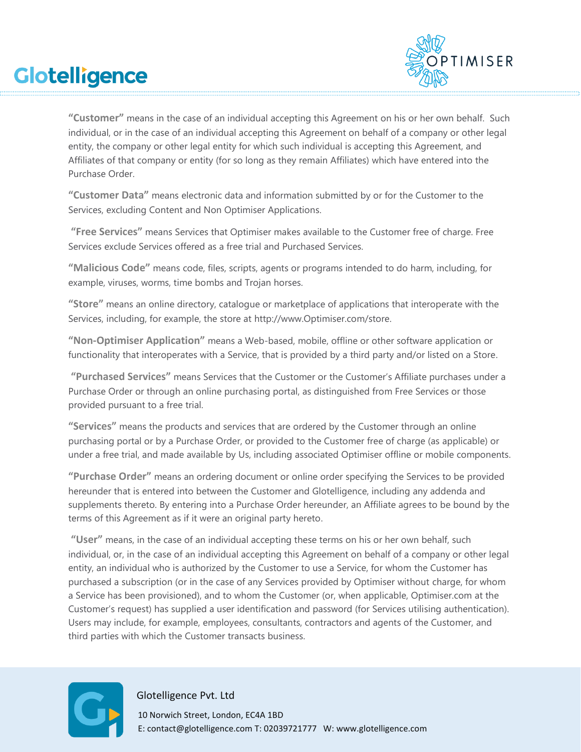

**"Customer"** means in the case of an individual accepting this Agreement on his or her own behalf. Such individual, or in the case of an individual accepting this Agreement on behalf of a company or other legal entity, the company or other legal entity for which such individual is accepting this Agreement, and Affiliates of that company or entity (for so long as they remain Affiliates) which have entered into the Purchase Order.

**"Customer Data"** means electronic data and information submitted by or for the Customer to the Services, excluding Content and Non Optimiser Applications.

**"Free Services"** means Services that Optimiser makes available to the Customer free of charge. Free Services exclude Services offered as a free trial and Purchased Services.

**"Malicious Code"** means code, files, scripts, agents or programs intended to do harm, including, for example, viruses, worms, time bombs and Trojan horses.

**"Store"** means an online directory, catalogue or marketplace of applications that interoperate with the Services, including, for example, the store at [http://www.Optimiser.com/store.](http://www.optimiser.com/store)

**"Non-Optimiser Application"** means a Web-based, mobile, offline or other software application or functionality that interoperates with a Service, that is provided by a third party and/or listed on a Store.

**"Purchased Services"** means Services that the Customer or the Customer's Affiliate purchases under a Purchase Order or through an online purchasing portal, as distinguished from Free Services or those provided pursuant to a free trial.

**"Services"** means the products and services that are ordered by the Customer through an online purchasing portal or by a Purchase Order, or provided to the Customer free of charge (as applicable) or under a free trial, and made available by Us, including associated Optimiser offline or mobile components.

**"Purchase Order"** means an ordering document or online order specifying the Services to be provided hereunder that is entered into between the Customer and Glotelligence, including any addenda and supplements thereto. By entering into a Purchase Order hereunder, an Affiliate agrees to be bound by the terms of this Agreement as if it were an original party hereto.

**"User"** means, in the case of an individual accepting these terms on his or her own behalf, such individual, or, in the case of an individual accepting this Agreement on behalf of a company or other legal entity, an individual who is authorized by the Customer to use a Service, for whom the Customer has purchased a subscription (or in the case of any Services provided by Optimiser without charge, for whom a Service has been provisioned), and to whom the Customer (or, when applicable, Optimiser.com at the Customer's request) has supplied a user identification and password (for Services utilising authentication). Users may include, for example, employees, consultants, contractors and agents of the Customer, and third parties with which the Customer transacts business.



#### Glotelligence Pvt. Ltd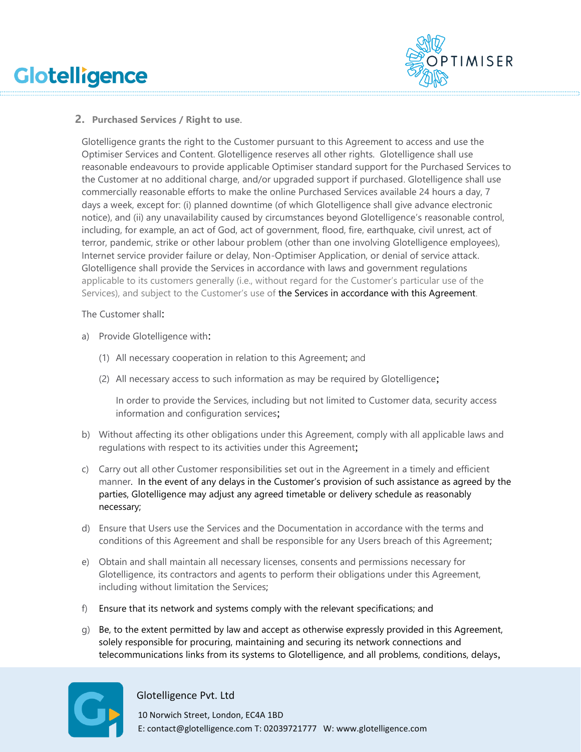

### **2. Purchased Services / Right to use**.

Glotelligence grants the right to the Customer pursuant to this Agreement to access and use the Optimiser Services and Content. Glotelligence reserves all other rights. Glotelligence shall use reasonable endeavours to provide applicable Optimiser standard support for the Purchased Services to the Customer at no additional charge, and/or upgraded support if purchased. Glotelligence shall use commercially reasonable efforts to make the online Purchased Services available 24 hours a day, 7 days a week, except for: (i) planned downtime (of which Glotelligence shall give advance electronic notice), and (ii) any unavailability caused by circumstances beyond Glotelligence's reasonable control, including, for example, an act of God, act of government, flood, fire, earthquake, civil unrest, act of terror, pandemic, strike or other labour problem (other than one involving Glotelligence employees), Internet service provider failure or delay, Non-Optimiser Application, or denial of service attack. Glotelligence shall provide the Services in accordance with laws and government regulations applicable to its customers generally (i.e., without regard for the Customer's particular use of the Services), and subject to the Customer's use of the Services in accordance with this Agreement.

The Customer shall:

- a) Provide Glotelligence with:
	- (1) All necessary cooperation in relation to this Agreement; and
	- (2) All necessary access to such information as may be required by Glotelligence;

In order to provide the Services, including but not limited to Customer data, security access information and configuration services;

- b) Without affecting its other obligations under this Agreement, comply with all applicable laws and regulations with respect to its activities under this Agreement;
- c) Carry out all other Customer responsibilities set out in the Agreement in a timely and efficient manner. In the event of any delays in the Customer's provision of such assistance as agreed by the parties, Glotelligence may adjust any agreed timetable or delivery schedule as reasonably necessary;
- d) Ensure that Users use the Services and the Documentation in accordance with the terms and conditions of this Agreement and shall be responsible for any Users breach of this Agreement;
- e) Obtain and shall maintain all necessary licenses, consents and permissions necessary for Glotelligence, its contractors and agents to perform their obligations under this Agreement, including without limitation the Services;
- f) Ensure that its network and systems comply with the relevant specifications; and
- g) Be, to the extent permitted by law and accept as otherwise expressly provided in this Agreement, solely responsible for procuring, maintaining and securing its network connections and telecommunications links from its systems to Glotelligence, and all problems, conditions, delays,



Glotelligence Pvt. Ltd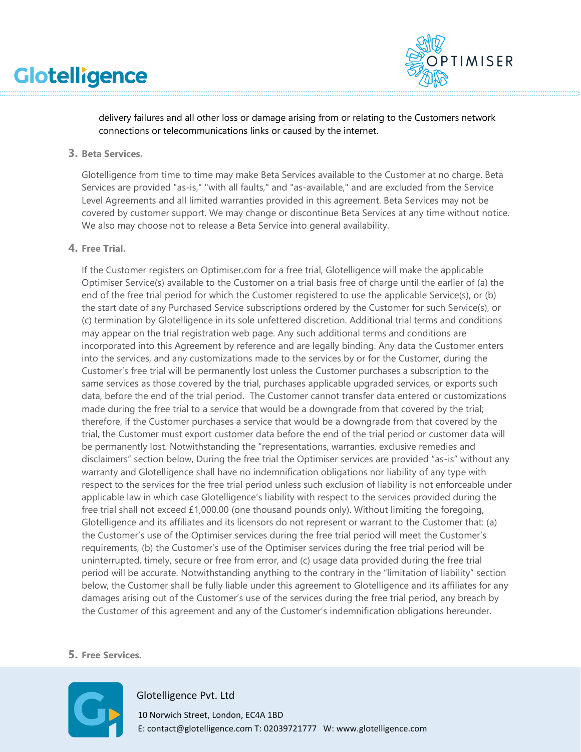

delivery failures and all other loss or damage arising from or relating to the Customers network connections or telecommunications links or caused by the internet.

#### **3. Beta Services.**

Glotelligence from time to time may make Beta Services available to the Customer at no charge. Beta Services are provided "as-is," "with all faults," and "as-available," and are excluded from the Service Level Agreements and all limited warranties provided in this agreement. Beta Services may not be covered by customer support. We may change or discontinue Beta Services at any time without notice. We also may choose not to release a Beta Service into general availability.

#### **4. Free Trial.**

If the Customer registers on Optimiser.com for a free trial, Glotelligence will make the applicable Optimiser Service(s) available to the Customer on a trial basis free of charge until the earlier of (a) the end of the free trial period for which the Customer registered to use the applicable Service(s), or (b) the start date of any Purchased Service subscriptions ordered by the Customer for such Service(s), or (c) termination by Glotelligence in its sole unfettered discretion. Additional trial terms and conditions may appear on the trial registration web page. Any such additional terms and conditions are incorporated into this Agreement by reference and are legally binding. Any data the Customer enters into the services, and any customizations made to the services by or for the Customer, during the Customer's free trial will be permanently lost unless the Customer purchases a subscription to the same services as those covered by the trial, purchases applicable upgraded services, or exports such data, before the end of the trial period. The Customer cannot transfer data entered or customizations made during the free trial to a service that would be a downgrade from that covered by the trial; therefore, if the Customer purchases a service that would be a downgrade from that covered by the trial, the Customer must export customer data before the end of the trial period or customer data will be permanently lost. Notwithstanding the "representations, warranties, exclusive remedies and disclaimers" section below, During the free trial the Optimiser services are provided "as-is" without any warranty and Glotelligence shall have no indemnification obligations nor liability of any type with respect to the services for the free trial period unless such exclusion of liability is not enforceable under applicable law in which case Glotelligence's liability with respect to the services provided during the free trial shall not exceed £1,000.00 (one thousand pounds only). Without limiting the foregoing, Glotelligence and its affiliates and its licensors do not represent or warrant to the Customer that: (a) the Customer's use of the Optimiser services during the free trial period will meet the Customer's requirements, (b) the Customer's use of the Optimiser services during the free trial period will be uninterrupted, timely, secure or free from error, and (c) usage data provided during the free trial period will be accurate. Notwithstanding anything to the contrary in the "limitation of liability" section below, the Customer shall be fully liable under this agreement to Glotelligence and its affiliates for any damages arising out of the Customer's use of the services during the free trial period, any breach by the Customer of this agreement and any of the Customer's indemnification obligations hereunder.

#### **5. Free Services.**



#### Glotelligence Pvt. Ltd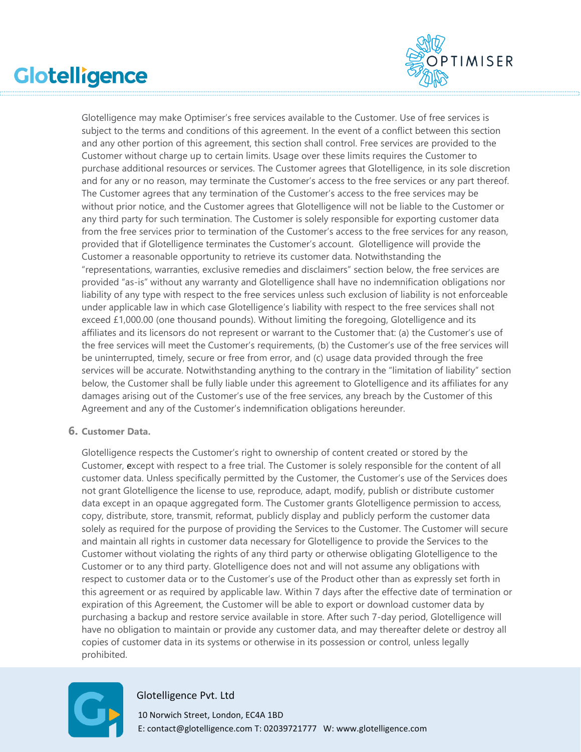

Glotelligence may make Optimiser's free services available to the Customer. Use of free services is subject to the terms and conditions of this agreement. In the event of a conflict between this section and any other portion of this agreement, this section shall control. Free services are provided to the Customer without charge up to certain limits. Usage over these limits requires the Customer to purchase additional resources or services. The Customer agrees that Glotelligence, in its sole discretion and for any or no reason, may terminate the Customer's access to the free services or any part thereof. The Customer agrees that any termination of the Customer's access to the free services may be without prior notice, and the Customer agrees that Glotelligence will not be liable to the Customer or any third party for such termination. The Customer is solely responsible for exporting customer data from the free services prior to termination of the Customer's access to the free services for any reason, provided that if Glotelligence terminates the Customer's account. Glotelligence will provide the Customer a reasonable opportunity to retrieve its customer data. Notwithstanding the "representations, warranties, exclusive remedies and disclaimers" section below, the free services are provided "as-is" without any warranty and Glotelligence shall have no indemnification obligations nor liability of any type with respect to the free services unless such exclusion of liability is not enforceable under applicable law in which case Glotelligence's liability with respect to the free services shall not exceed  $£1,000.00$  (one thousand pounds). Without limiting the foregoing, Glotelligence and its affiliates and its licensors do not represent or warrant to the Customer that: (a) the Customer's use of the free services will meet the Customer's requirements, (b) the Customer's use of the free services will be uninterrupted, timely, secure or free from error, and (c) usage data provided through the free services will be accurate. Notwithstanding anything to the contrary in the "limitation of liability" section below, the Customer shall be fully liable under this agreement to Glotelligence and its affiliates for any damages arising out of the Customer's use of the free services, any breach by the Customer of this Agreement and any of the Customer's indemnification obligations hereunder.

#### **6. Customer Data.**

Glotelligence respects the Customer's right to ownership of content created or stored by the Customer, except with respect to a free trial. The Customer is solely responsible for the content of all customer data. Unless specifically permitted by the Customer, the Customer's use of the Services does not grant Glotelligence the license to use, reproduce, adapt, modify, publish or distribute customer data except in an opaque aggregated form. The Customer grants Glotelligence permission to access, copy, distribute, store, transmit, reformat, publicly display and publicly perform the customer data solely as required for the purpose of providing the Services to the Customer. The Customer will secure and maintain all rights in customer data necessary for Glotelligence to provide the Services to the Customer without violating the rights of any third party or otherwise obligating Glotelligence to the Customer or to any third party. Glotelligence does not and will not assume any obligations with respect to customer data or to the Customer's use of the Product other than as expressly set forth in this agreement or as required by applicable law. Within 7 days after the effective date of termination or expiration of this Agreement, the Customer will be able to export or download customer data by purchasing a backup and restore service available in store. After such 7-day period, Glotelligence will have no obligation to maintain or provide any customer data, and may thereafter delete or destroy all copies of customer data in its systems or otherwise in its possession or control, unless legally prohibited.



### Glotelligence Pvt. Ltd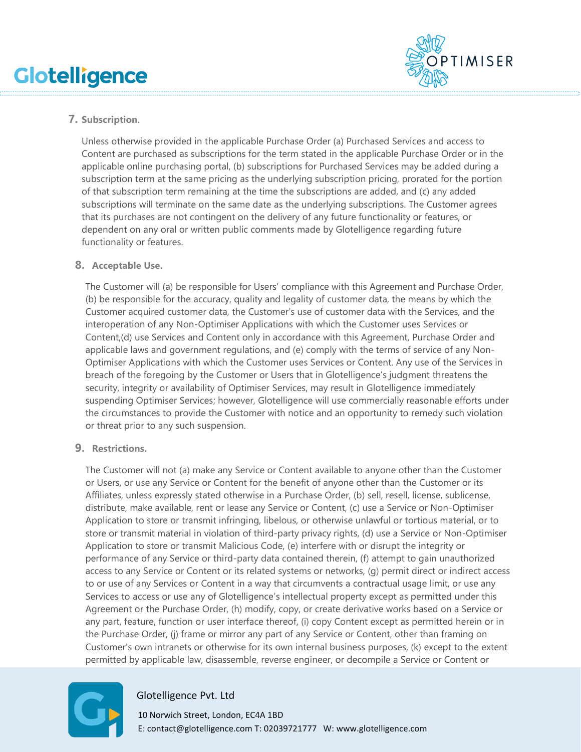

# **7. Subscription**.

Unless otherwise provided in the applicable Purchase Order (a) Purchased Services and access to Content are purchased as subscriptions for the term stated in the applicable Purchase Order or in the applicable online purchasing portal, (b) subscriptions for Purchased Services may be added during a subscription term at the same pricing as the underlying subscription pricing, prorated for the portion of that subscription term remaining at the time the subscriptions are added, and (c) any added subscriptions will terminate on the same date as the underlying subscriptions. The Customer agrees that its purchases are not contingent on the delivery of any future functionality or features, or dependent on any oral or written public comments made by Glotelligence regarding future functionality or features.

### **8. Acceptable Use.**

The Customer will (a) be responsible for Users' compliance with this Agreement and Purchase Order, (b) be responsible for the accuracy, quality and legality of customer data, the means by which the Customer acquired customer data, the Customer's use of customer data with the Services, and the interoperation of any Non-Optimiser Applications with which the Customer uses Services or Content,(d) use Services and Content only in accordance with this Agreement, Purchase Order and applicable laws and government regulations, and (e) comply with the terms of service of any Non-Optimiser Applications with which the Customer uses Services or Content. Any use of the Services in breach of the foregoing by the Customer or Users that in Glotelligence's judgment threatens the security, integrity or availability of Optimiser Services, may result in Glotelligence immediately suspending Optimiser Services; however, Glotelligence will use commercially reasonable efforts under the circumstances to provide the Customer with notice and an opportunity to remedy such violation or threat prior to any such suspension.

# **9. Restrictions.**

The Customer will not (a) make any Service or Content available to anyone other than the Customer or Users, or use any Service or Content for the benefit of anyone other than the Customer or its Affiliates, unless expressly stated otherwise in a Purchase Order, (b) sell, resell, license, sublicense, distribute, make available, rent or lease any Service or Content, (c) use a Service or Non-Optimiser Application to store or transmit infringing, libelous, or otherwise unlawful or tortious material, or to store or transmit material in violation of third-party privacy rights, (d) use a Service or Non-Optimiser Application to store or transmit Malicious Code, (e) interfere with or disrupt the integrity or performance of any Service or third-party data contained therein, (f) attempt to gain unauthorized access to any Service or Content or its related systems or networks, (g) permit direct or indirect access to or use of any Services or Content in a way that circumvents a contractual usage limit, or use any Services to access or use any of Glotelligence's intellectual property except as permitted under this Agreement or the Purchase Order, (h) modify, copy, or create derivative works based on a Service or any part, feature, function or user interface thereof, (i) copy Content except as permitted herein or in the Purchase Order, (j) frame or mirror any part of any Service or Content, other than framing on Customer's own intranets or otherwise for its own internal business purposes, (k) except to the extent permitted by applicable law, disassemble, reverse engineer, or decompile a Service or Content or



# Glotelligence Pvt. Ltd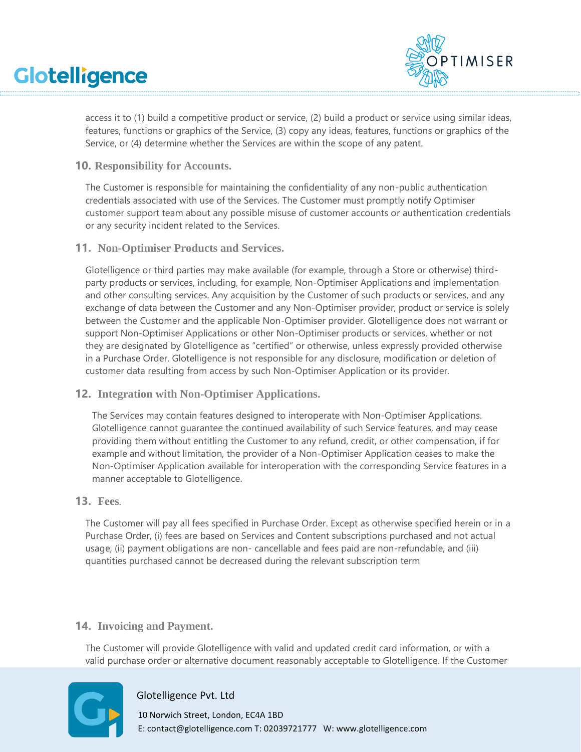

access it to (1) build a competitive product or service, (2) build a product or service using similar ideas, features, functions or graphics of the Service, (3) copy any ideas, features, functions or graphics of the Service, or (4) determine whether the Services are within the scope of any patent.

**10. Responsibility for Accounts.**

The Customer is responsible for maintaining the confidentiality of any non-public authentication credentials associated with use of the Services. The Customer must promptly notify Optimiser customer support team about any possible misuse of customer accounts or authentication credentials or any security incident related to the Services.

**11. Non-Optimiser Products and Services.** 

Glotelligence or third parties may make available (for example, through a Store or otherwise) thirdparty products or services, including, for example, Non-Optimiser Applications and implementation and other consulting services. Any acquisition by the Customer of such products or services, and any exchange of data between the Customer and any Non-Optimiser provider, product or service is solely between the Customer and the applicable Non-Optimiser provider. Glotelligence does not warrant or support Non-Optimiser Applications or other Non-Optimiser products or services, whether or not they are designated by Glotelligence as "certified" or otherwise, unless expressly provided otherwise in a Purchase Order. Glotelligence is not responsible for any disclosure, modification or deletion of customer data resulting from access by such Non-Optimiser Application or its provider.

**12. Integration with Non-Optimiser Applications.** 

The Services may contain features designed to interoperate with Non-Optimiser Applications. Glotelligence cannot guarantee the continued availability of such Service features, and may cease providing them without entitling the Customer to any refund, credit, or other compensation, if for example and without limitation, the provider of a Non-Optimiser Application ceases to make the Non-Optimiser Application available for interoperation with the corresponding Service features in a manner acceptable to Glotelligence.

#### **13. Fees**.

The Customer will pay all fees specified in Purchase Order. Except as otherwise specified herein or in a Purchase Order, (i) fees are based on Services and Content subscriptions purchased and not actual usage, (ii) payment obligations are non- cancellable and fees paid are non-refundable, and (iii) quantities purchased cannot be decreased during the relevant subscription term

# **14. Invoicing and Payment.**

The Customer will provide Glotelligence with valid and updated credit card information, or with a valid purchase order or alternative document reasonably acceptable to Glotelligence. If the Customer



#### Glotelligence Pvt. Ltd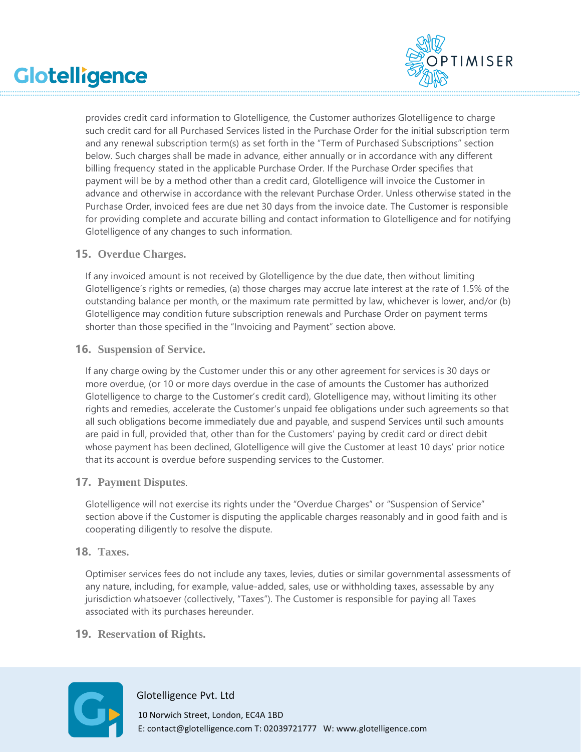

provides credit card information to Glotelligence, the Customer authorizes Glotelligence to charge such credit card for all Purchased Services listed in the Purchase Order for the initial subscription term and any renewal subscription term(s) as set forth in the "Term of Purchased Subscriptions" section below. Such charges shall be made in advance, either annually or in accordance with any different billing frequency stated in the applicable Purchase Order. If the Purchase Order specifies that payment will be by a method other than a credit card, Glotelligence will invoice the Customer in advance and otherwise in accordance with the relevant Purchase Order. Unless otherwise stated in the Purchase Order, invoiced fees are due net 30 days from the invoice date. The Customer is responsible for providing complete and accurate billing and contact information to Glotelligence and for notifying Glotelligence of any changes to such information.

#### **15. Overdue Charges.**

If any invoiced amount is not received by Glotelligence by the due date, then without limiting Glotelligence's rights or remedies, (a) those charges may accrue late interest at the rate of 1.5% of the outstanding balance per month, or the maximum rate permitted by law, whichever is lower, and/or (b) Glotelligence may condition future subscription renewals and Purchase Order on payment terms shorter than those specified in the "Invoicing and Payment" section above.

### **16. Suspension of Service.**

If any charge owing by the Customer under this or any other agreement for services is 30 days or more overdue, (or 10 or more days overdue in the case of amounts the Customer has authorized Glotelligence to charge to the Customer's credit card), Glotelligence may, without limiting its other rights and remedies, accelerate the Customer's unpaid fee obligations under such agreements so that all such obligations become immediately due and payable, and suspend Services until such amounts are paid in full, provided that, other than for the Customers' paying by credit card or direct debit whose payment has been declined, Glotelligence will give the Customer at least 10 days' prior notice that its account is overdue before suspending services to the Customer.

# **17. Payment Disputes**.

Glotelligence will not exercise its rights under the "Overdue Charges" or "Suspension of Service" section above if the Customer is disputing the applicable charges reasonably and in good faith and is cooperating diligently to resolve the dispute.

#### **18. Taxes.**

Optimiser services fees do not include any taxes, levies, duties or similar governmental assessments of any nature, including, for example, value-added, sales, use or withholding taxes, assessable by any jurisdiction whatsoever (collectively, "Taxes"). The Customer is responsible for paying all Taxes associated with its purchases hereunder.

# **19. Reservation of Rights.**



#### Glotelligence Pvt. Ltd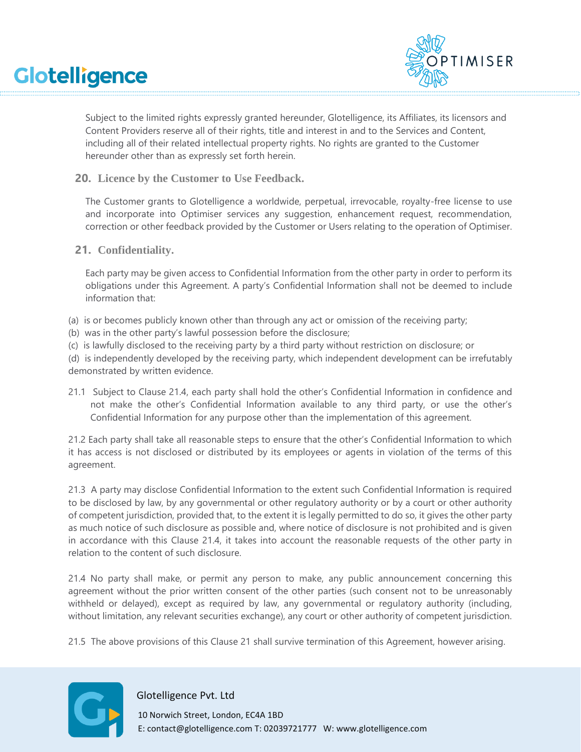

Subject to the limited rights expressly granted hereunder, Glotelligence, its Affiliates, its licensors and Content Providers reserve all of their rights, title and interest in and to the Services and Content, including all of their related intellectual property rights. No rights are granted to the Customer hereunder other than as expressly set forth herein.

**20. Licence by the Customer to Use Feedback.** 

The Customer grants to Glotelligence a worldwide, perpetual, irrevocable, royalty-free license to use and incorporate into Optimiser services any suggestion, enhancement request, recommendation, correction or other feedback provided by the Customer or Users relating to the operation of Optimiser.

**21. Confidentiality.** 

Each party may be given access to Confidential Information from the other party in order to perform its obligations under this Agreement. A party's Confidential Information shall not be deemed to include information that:

- (a) is or becomes publicly known other than through any act or omission of the receiving party;
- (b) was in the other party's lawful possession before the disclosure;
- (c) is lawfully disclosed to the receiving party by a third party without restriction on disclosure; or

(d) is independently developed by the receiving party, which independent development can be irrefutably demonstrated by written evidence.

21.1 Subject to [Clause 21.4,](#page-8-0) each party shall hold the other's Confidential Information in confidence and not make the other's Confidential Information available to any third party, or use the other's Confidential Information for any purpose other than the implementation of this agreement.

21.2 Each party shall take all reasonable steps to ensure that the other's Confidential Information to which it has access is not disclosed or distributed by its employees or agents in violation of the terms of this agreement.

<span id="page-8-0"></span>21.3 A party may disclose Confidential Information to the extent such Confidential Information is required to be disclosed by law, by any governmental or other regulatory authority or by a court or other authority of competent jurisdiction, provided that, to the extent it is legally permitted to do so, it gives the other party as much notice of such disclosure as possible and, where notice of disclosure is not prohibited and is given in accordance with this [Clause 21.4,](#page-8-0) it takes into account the reasonable requests of the other party in relation to the content of such disclosure.

21.4 No party shall make, or permit any person to make, any public announcement concerning this agreement without the prior written consent of the other parties (such consent not to be unreasonably withheld or delayed), except as required by law, any governmental or regulatory authority (including, without limitation, any relevant securities exchange), any court or other authority of competent jurisdiction.

21.5 The above provisions of this Clause 21 shall survive termination of this Agreement, however arising.



Glotelligence Pvt. Ltd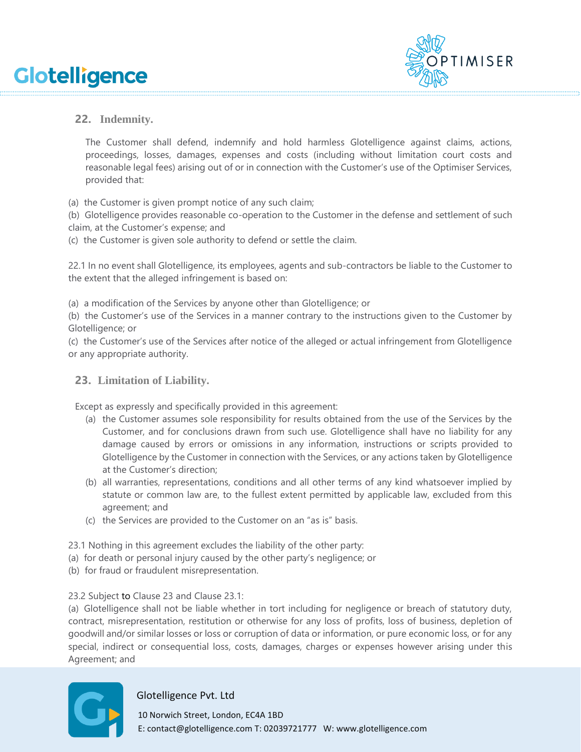

# **22. Indemnity.**

The Customer shall defend, indemnify and hold harmless Glotelligence against claims, actions, proceedings, losses, damages, expenses and costs (including without limitation court costs and reasonable legal fees) arising out of or in connection with the Customer's use of the Optimiser Services, provided that:

(a) the Customer is given prompt notice of any such claim;

(b) Glotelligence provides reasonable co-operation to the Customer in the defense and settlement of such claim, at the Customer's expense; and

(c) the Customer is given sole authority to defend or settle the claim.

22.1 In no event shall Glotelligence, its employees, agents and sub-contractors be liable to the Customer to the extent that the alleged infringement is based on:

(a) a modification of the Services by anyone other than Glotelligence; or

(b) the Customer's use of the Services in a manner contrary to the instructions given to the Customer by Glotelligence; or

(c) the Customer's use of the Services after notice of the alleged or actual infringement from Glotelligence or any appropriate authority.

# **23. Limitation of Liability.**

Except as expressly and specifically provided in this agreement:

- (a) the Customer assumes sole responsibility for results obtained from the use of the Services by the Customer, and for conclusions drawn from such use. Glotelligence shall have no liability for any damage caused by errors or omissions in any information, instructions or scripts provided to Glotelligence by the Customer in connection with the Services, or any actions taken by Glotelligence at the Customer's direction;
- (b) all warranties, representations, conditions and all other terms of any kind whatsoever implied by statute or common law are, to the fullest extent permitted by applicable law, excluded from this agreement; and
- (c) the Services are provided to the Customer on an "as is" basis.

23.1 Nothing in this agreement excludes the liability of the other party:

- (a) for death or personal injury caused by the other party's negligence; or
- (b) for fraud or fraudulent misrepresentation.

23.2 Subject to Clause 23 and Clause 23.1:

(a) Glotelligence shall not be liable whether in tort including for negligence or breach of statutory duty, contract, misrepresentation, restitution or otherwise for any loss of profits, loss of business, depletion of goodwill and/or similar losses or loss or corruption of data or information, or pure economic loss, or for any special, indirect or consequential loss, costs, damages, charges or expenses however arising under this Agreement; and



#### Glotelligence Pvt. Ltd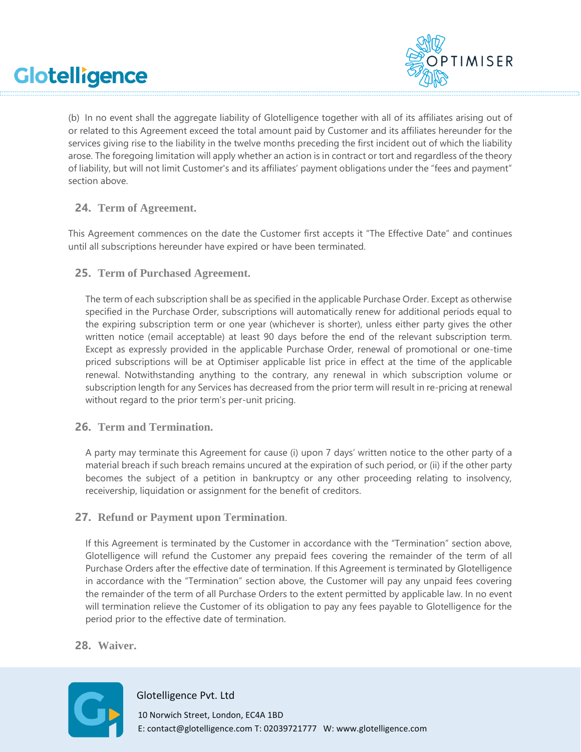

(b) In no event shall the aggregate liability of Glotelligence together with all of its affiliates arising out of or related to this Agreement exceed the total amount paid by Customer and its affiliates hereunder for the services giving rise to the liability in the twelve months preceding the first incident out of which the liability arose. The foregoing limitation will apply whether an action is in contract or tort and regardless of the theory of liability, but will not limit Customer's and its affiliates' payment obligations under the "fees and payment" section above.

# **24. Term of Agreement.**

This Agreement commences on the date the Customer first accepts it "The Effective Date" and continues until all subscriptions hereunder have expired or have been terminated.

# **25. Term of Purchased Agreement.**

The term of each subscription shall be as specified in the applicable Purchase Order. Except as otherwise specified in the Purchase Order, subscriptions will automatically renew for additional periods equal to the expiring subscription term or one year (whichever is shorter), unless either party gives the other written notice (email acceptable) at least 90 days before the end of the relevant subscription term. Except as expressly provided in the applicable Purchase Order, renewal of promotional or one-time priced subscriptions will be at Optimiser applicable list price in effect at the time of the applicable renewal. Notwithstanding anything to the contrary, any renewal in which subscription volume or subscription length for any Services has decreased from the prior term will result in re-pricing at renewal without regard to the prior term's per-unit pricing.

# **26. Term and Termination.**

A party may terminate this Agreement for cause (i) upon 7 days' written notice to the other party of a material breach if such breach remains uncured at the expiration of such period, or (ii) if the other party becomes the subject of a petition in bankruptcy or any other proceeding relating to insolvency, receivership, liquidation or assignment for the benefit of creditors.

# **27. Refund or Payment upon Termination**.

If this Agreement is terminated by the Customer in accordance with the "Termination" section above, Glotelligence will refund the Customer any prepaid fees covering the remainder of the term of all Purchase Orders after the effective date of termination. If this Agreement is terminated by Glotelligence in accordance with the "Termination" section above, the Customer will pay any unpaid fees covering the remainder of the term of all Purchase Orders to the extent permitted by applicable law. In no event will termination relieve the Customer of its obligation to pay any fees payable to Glotelligence for the period prior to the effective date of termination.

# **28. Waiver.**



#### Glotelligence Pvt. Ltd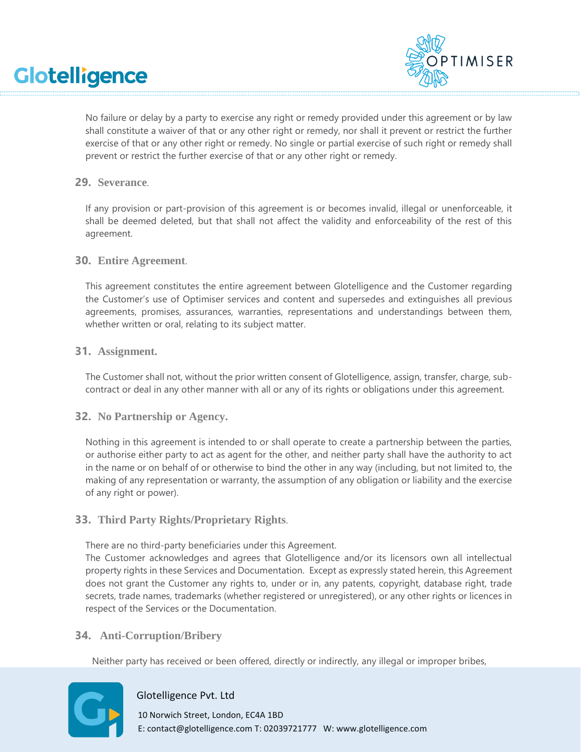

No failure or delay by a party to exercise any right or remedy provided under this agreement or by law shall constitute a waiver of that or any other right or remedy, nor shall it prevent or restrict the further exercise of that or any other right or remedy. No single or partial exercise of such right or remedy shall prevent or restrict the further exercise of that or any other right or remedy.

### **29. Severance**.

If any provision or part-provision of this agreement is or becomes invalid, illegal or unenforceable, it shall be deemed deleted, but that shall not affect the validity and enforceability of the rest of this agreement.

### **30. Entire Agreement**.

This agreement constitutes the entire agreement between Glotelligence and the Customer regarding the Customer's use of Optimiser services and content and supersedes and extinguishes all previous agreements, promises, assurances, warranties, representations and understandings between them, whether written or oral, relating to its subject matter.

#### **31. Assignment.**

The Customer shall not, without the prior written consent of Glotelligence, assign, transfer, charge, subcontract or deal in any other manner with all or any of its rights or obligations under this agreement.

#### **32. No Partnership or Agency.**

Nothing in this agreement is intended to or shall operate to create a partnership between the parties, or authorise either party to act as agent for the other, and neither party shall have the authority to act in the name or on behalf of or otherwise to bind the other in any way (including, but not limited to, the making of any representation or warranty, the assumption of any obligation or liability and the exercise of any right or power).

# **33. Third Party Rights/Proprietary Rights**.

There are no third-party beneficiaries under this Agreement.

The Customer acknowledges and agrees that Glotelligence and/or its licensors own all intellectual property rights in these Services and Documentation. Except as expressly stated herein, this Agreement does not grant the Customer any rights to, under or in, any patents, copyright, database right, trade secrets, trade names, trademarks (whether registered or unregistered), or any other rights or licences in respect of the Services or the Documentation.

# **34. Anti-Corruption/Bribery**

Neither party has received or been offered, directly or indirectly, any illegal or improper bribes,



Glotelligence Pvt. Ltd